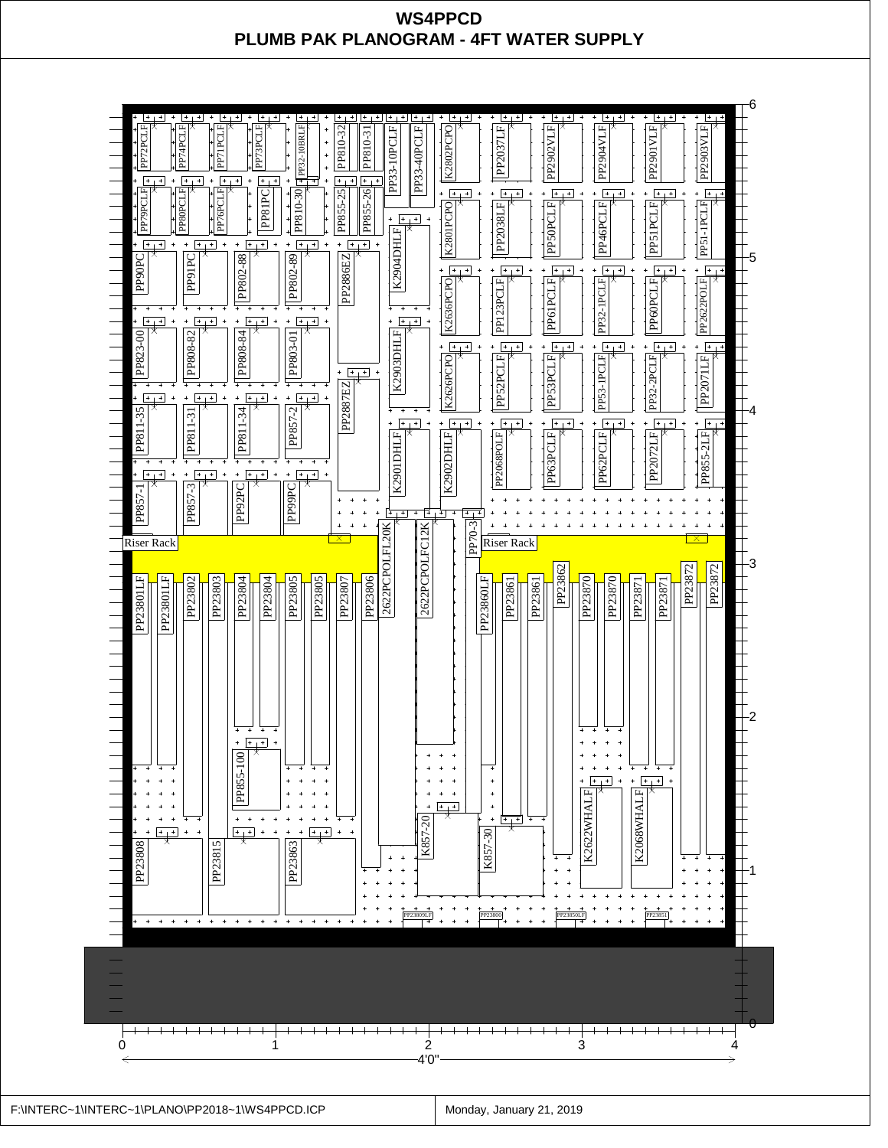## **WS4PPCD PLUMB PAK PLANOGRAM - 4FT WATER SUPPLY**

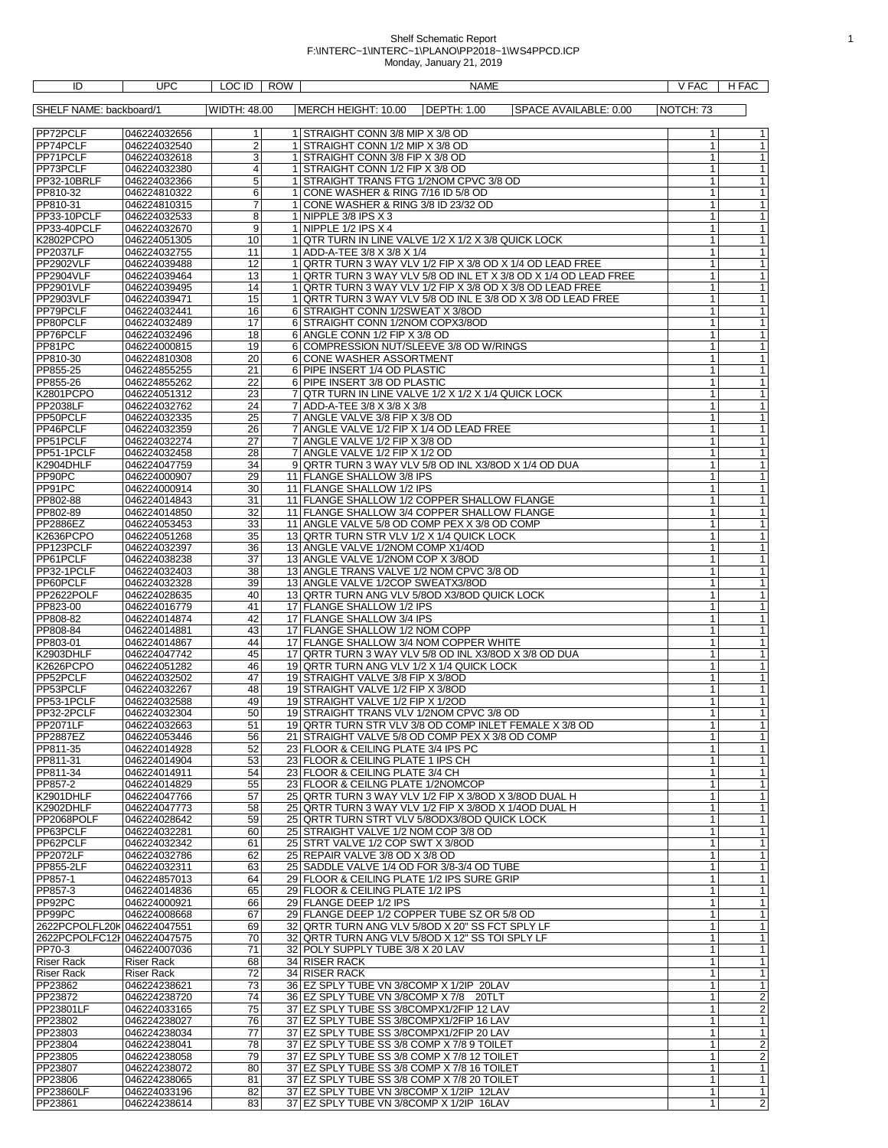## Shelf Schematic Report 1 F:\INTERC~1\INTERC~1\PLANO\PP2018~1\WS4PPCD.ICP Monday, January 21, 2019

| ID                          | UPC                          | LOC ID<br>ROW           | NAME                                                                                   | V FAC<br>H FAC                                      |
|-----------------------------|------------------------------|-------------------------|----------------------------------------------------------------------------------------|-----------------------------------------------------|
| SHELF NAME: backboard/1     |                              | <b>WIDTH: 48.00</b>     | <b>DEPTH: 1.00</b><br>MERCH HEIGHT: 10.00<br>SPACE AVAILABLE: 0.00                     | NOTCH: 73                                           |
|                             |                              |                         |                                                                                        |                                                     |
| PP72PCLF                    | 046224032656                 | 1                       | 1 STRAIGHT CONN 3/8 MIP X 3/8 OD                                                       | 1<br>1                                              |
| PP74PCLF                    | 046224032540                 | $\overline{\mathbf{c}}$ | 1 STRAIGHT CONN 1/2 MIP X 3/8 OD                                                       | $\mathbf{1}$<br>1                                   |
| PP71PCLF                    | 046224032618                 | $\overline{3}$          | 1 STRAIGHT CONN 3/8 FIP X 3/8 OD                                                       | 1<br>$\mathbf{1}$                                   |
| PP73PCLF                    | 046224032380                 | 4                       | 1 STRAIGHT CONN 1/2 FIP X 3/8 OD                                                       | $\overline{1}$                                      |
| PP32-10BRLF                 | 046224032366                 | 5                       | 1 STRAIGHT TRANS FTG 1/2NOM CPVC 3/8 OD                                                | $\mathbf{1}$<br>1                                   |
| PP810-32<br>PP810-31        | 046224810322<br>046224810315 | 6<br>7                  | 1 CONE WASHER & RING 7/16 ID 5/8 OD<br>1 CONE WASHER & RING 3/8 ID 23/32 OD            | $\mathbf{1}$<br>$\mathbf{1}$<br>$\overline{1}$<br>1 |
| PP33-10PCLF                 | 046224032533                 | 8                       | 1 NIPPLE $3/8$ IPS $\times 3$                                                          | $\overline{1}$<br>$\mathbf{1}$                      |
| PP33-40PCLF                 | 046224032670                 | 9                       | 1 NIPPLE $1/2$ IPS $\times$ 4                                                          | $\overline{1}$<br>$\mathbf{1}$                      |
| K2802PCPO                   | 046224051305                 | 10                      | 1   QTR TURN IN LINE VALVE 1/2 X 1/2 X 3/8 QUICK LOCK                                  | 1<br>1                                              |
| <b>PP2037LF</b>             | 046224032755                 | 11                      | 1 ADD-A-TEE 3/8 X 3/8 X 1/4                                                            | $\overline{1}$<br>$\mathbf{1}$                      |
| PP2902VLF                   | 046224039488                 | 12                      | 1 QRTR TURN 3 WAY VLV 1/2 FIP X 3/8 OD X 1/4 OD LEAD FREE                              | $\mathbf{1}$<br>1                                   |
| <b>PP2904VLF</b>            | 046224039464                 | 13                      | 1 QRTR TURN 3 WAY VLV 5/8 OD INL ET X 3/8 OD X 1/4 OD LEAD FREE                        | $\overline{1}$<br>1                                 |
| <b>PP2901VLF</b>            | 046224039495                 | 14                      | 1 QRTR TURN 3 WAY VLV 1/2 FIP X 3/8 OD X 3/8 OD LEAD FREE                              | $\mathbf{1}$<br>1                                   |
| PP2903VLF                   | 046224039471                 | 15                      | 1 QRTR TURN 3 WAY VLV 5/8 OD INL E 3/8 OD X 3/8 OD LEAD FREE                           | $\overline{1}$<br>1                                 |
| PP79PCLF                    | 046224032441                 | 16                      | 6 STRAIGHT CONN 1/2SWEAT X 3/8OD                                                       | $\overline{1}$<br>$\mathbf{1}$                      |
| PP80PCLF                    | 046224032489                 | 17                      | 6 STRAIGHT CONN 1/2NOM COPX3/8OD                                                       | $\mathbf{1}$<br>1                                   |
| PP76PCLF                    | 046224032496                 | 18                      | 6 ANGLE CONN 1/2 FIP X 3/8 OD                                                          | $\mathbf{1}$<br>1                                   |
| PP81PC<br>PP810-30          | 046224000815                 | 19                      | 6 COMPRESSION NUT/SLEEVE 3/8 OD W/RINGS<br>6 CONE WASHER ASSORTMENT                    | 1<br>1<br>$\overline{1}$<br>1                       |
| PP855-25                    | 046224810308<br>046224855255 | 20<br>21                | 6 PIPE INSERT 1/4 OD PLASTIC                                                           | 1<br>1                                              |
| PP855-26                    | 046224855262                 | $\overline{22}$         | 6 PIPE INSERT 3/8 OD PLASTIC                                                           | $\mathbf{1}$<br>$\mathbf{1}$                        |
| <b>K2801PCPO</b>            | 046224051312                 | 23                      | 7 OTR TURN IN LINE VALVE 1/2 X 1/2 X 1/4 QUICK LOCK                                    | $\mathbf{1}$<br>1                                   |
| <b>PP2038LF</b>             | 046224032762                 | 24                      | 7 ADD-A-TEE 3/8 X 3/8 X 3/8                                                            | $\overline{1}$<br>1                                 |
| PP50PCLF                    | 046224032335                 | 25                      | 7 ANGLE VALVE 3/8 FIP X 3/8 OD                                                         | $\overline{1}$<br>$\mathbf{1}$                      |
| PP46PCLF                    | 046224032359                 | 26                      | 7 ANGLE VALVE 1/2 FIP X 1/4 OD LEAD FREE                                               | $\mathbf{1}$<br>1                                   |
| PP51PCLF                    | 046224032274                 | 27                      | 7 ANGLE VALVE 1/2 FIP X 3/8 OD                                                         | $\mathbf{1}$<br>1                                   |
| PP51-1PCLF                  | 046224032458                 | 28                      | 7 ANGLE VALVE 1/2 FIP X 1/2 OD                                                         | $\mathbf{1}$<br>1                                   |
| K2904DHLF                   | 046224047759                 | 34                      | 9 QRTR TURN 3 WAY VLV 5/8 OD INL X3/8OD X 1/4 OD DUA                                   | $\overline{1}$<br>1                                 |
| PP90PC                      | 046224000907                 | 29                      | 11 FLANGE SHALLOW 3/8 IPS                                                              | $\mathbf{1}$<br>$\mathbf{1}$                        |
| PP91PC                      | 046224000914                 | 30                      | 11 FLANGE SHALLOW 1/2 IPS                                                              | $\mathbf{1}$<br>1                                   |
| PP802-88                    | 046224014843                 | 31                      | 11 FLANGE SHALLOW 1/2 COPPER SHALLOW FLANGE                                            | T<br>1                                              |
| PP802-89                    | 046224014850                 | 32                      | 11 FLANGE SHALLOW 3/4 COPPER SHALLOW FLANGE                                            | $\overline{1}$<br>$\mathbf{1}$                      |
| PP2886EZ                    | 046224053453<br>046224051268 | 33                      | 11 ANGLE VALVE 5/8 OD COMP PEX X 3/8 OD COMP                                           | $\overline{1}$<br>1<br>1                            |
| K2636PCPO<br>PP123PCLF      | 046224032397                 | 35<br>36                | 13 QRTR TURN STR VLV 1/2 X 1/4 QUICK LOCK<br>13 ANGLE VALVE 1/2NOM COMP X1/4OD         | 1<br>$\overline{1}$<br>1                            |
| PP61PCLF                    | 046224038238                 | 37                      | 13 ANGLE VALVE 1/2NOM COP X 3/8OD                                                      | 1<br>1                                              |
| PP32-1PCLF                  | 046224032403                 | $\overline{38}$         | 13 ANGLE TRANS VALVE 1/2 NOM CPVC 3/8 OD                                               | $\overline{1}$<br>1                                 |
| PP60PCLF                    | 046224032328                 | 39                      | 13 ANGLE VALVE 1/2COP SWEATX3/8OD                                                      | $\mathbf{1}$<br>$\mathbf{1}$                        |
| PP2622POLF                  | 046224028635                 | 40                      | 13 QRTR TURN ANG VLV 5/8OD X3/8OD QUICK LOCK                                           | $\overline{1}$<br>1                                 |
| PP823-00                    | 046224016779                 | 41                      | 17 FLANGE SHALLOW 1/2 IPS                                                              | $\overline{1}$<br>$\mathbf{1}$                      |
| PP808-82                    | 046224014874                 | 42                      | 17 FLANGE SHALLOW 3/4 IPS                                                              | $\mathbf{1}$<br>$\mathbf{1}$                        |
| PP808-84                    | 046224014881                 | 43                      | 17 FLANGE SHALLOW 1/2 NOM COPP                                                         | $\mathbf{1}$<br>1                                   |
| PP803-01                    | 046224014867                 | 44                      | 17 FLANGE SHALLOW 3/4 NOM COPPER WHITE                                                 | 1<br>$\mathbf{1}$                                   |
| K2903DHLF                   | 046224047742                 | 45                      | 17 QRTR TURN 3 WAY VLV 5/8 OD INL X3/8OD X 3/8 OD DUA                                  | $\overline{1}$<br>1                                 |
| K2626PCPO                   | 046224051282                 | 46                      | 19 QRTR TURN ANG VLV 1/2 X 1/4 QUICK LOCK                                              | $\mathbf{1}$<br>1                                   |
| PP52PCLF                    | 046224032502                 | 47                      | 19 STRAIGHT VALVE 3/8 FIP X 3/8OD                                                      | $\mathbf{1}$<br>1                                   |
| PP53PCLF<br>PP53-1PCLF      | 046224032267<br>046224032588 | 48<br>49                | 19 STRAIGHT VALVE 1/2 FIP X 3/8OD<br>19 STRAIGHT VALVE 1/2 FIP X 1/2OD                 | $\mathbf{1}$<br>1<br>1<br>1                         |
| PP32-2PCLF                  | 046224032304                 | 50                      | 19 STRAIGHT TRANS VLV 1/2NOM CPVC 3/8 OD                                               | $\overline{1}$<br>$\mathbf{1}$                      |
| <b>PP2071LF</b>             | 046224032663                 | 51                      | 19 QRTR TURN STR VLV 3/8 OD COMP INLET FEMALE X 3/8 OD                                 | $\mathbf{1}$                                        |
| PP2887EZ                    | 046224053446                 | 56                      | 21   STRAIGHT VALVE 5/8 OD COMP PEX X 3/8 OD COMP                                      | 1<br>1                                              |
| PP811-35                    | 046224014928                 | 52                      | 23 FLOOR & CEILING PLATE 3/4 IPS PC                                                    | $\mathbf{1}$<br>1                                   |
| PP811-31                    | 046224014904                 | 53                      | 23 FLOOR & CEILING PLATE 1 IPS CH                                                      | $\mathbf{1}$<br>1                                   |
| PP811-34                    | 046224014911                 | 54                      | 23 FLOOR & CEILING PLATE 3/4 CH                                                        | $\mathbf{1}$<br>1                                   |
| PP857-2                     | 046224014829                 | 55                      | 23 FLOOR & CEILNG PLATE 1/2NOMCOP                                                      | $\mathbf{1}$<br>1                                   |
| K2901DHLF                   | 046224047766                 | 57                      | 25   QRTR TURN 3 WAY VLV 1/2 FIP X 3/8OD X 3/8OD DUAL H                                | $\overline{1}$<br>1                                 |
| K2902DHLF                   | 046224047773                 | 58                      | 25 QRTR TURN 3 WAY VLV 1/2 FIP X 3/8OD X 1/4OD DUAL H                                  | $\overline{1}$<br>1                                 |
| PP2068POLF                  | 046224028642                 | 59                      | 25 QRTR TURN STRT VLV 5/8ODX3/8OD QUICK LOCK                                           | $\mathbf{1}$<br>$\mathbf{1}$                        |
| PP63PCLF<br>PP62PCLF        | 046224032281<br>046224032342 | 60<br>61                | 25 STRAIGHT VALVE 1/2 NOM COP 3/8 OD<br>25 STRT VALVE 1/2 COP SWT X 3/8OD              | $\mathbf{1}$<br>1<br>$\overline{1}$<br>1            |
| <b>PP2072LF</b>             | 046224032786                 | 62                      | 25 REPAIR VALVE 3/8 OD X 3/8 OD                                                        | $\mathbf{1}$<br>1                                   |
| PP855-2LF                   | 046224032311                 | 63                      | 25 SADDLE VALVE 1/4 OD FOR 3/8-3/4 OD TUBE                                             | $\overline{1}$<br>1                                 |
| PP857-1                     | 046224857013                 | 64                      | 29 FLOOR & CEILING PLATE 1/2 IPS SURE GRIP                                             | $\mathbf{1}$<br>$\mathbf{1}$                        |
| PP857-3                     | 046224014836                 | 65                      | 29 FLOOR & CEILING PLATE 1/2 IPS                                                       | $\overline{1}$<br>1                                 |
| PP92PC                      | 046224000921                 | 66                      | 29 FLANGE DEEP 1/2 IPS                                                                 | $\overline{1}$<br>$\mathbf{1}$                      |
| PP99PC                      | 046224008668                 | 67                      | 29 FLANGE DEEP 1/2 COPPER TUBE SZ OR 5/8 OD                                            | $\mathbf{1}$<br>1                                   |
| 2622PCPOLFL20K 046224047551 |                              | 69                      | 32 QRTR TURN ANG VLV 5/8OD X 20" SS FCT SPLY LF                                        | $\mathbf{1}$<br>1                                   |
| 2622PCPOLFC12I 046224047575 |                              | 70                      | 32 QRTR TURN ANG VLV 5/8OD X 12" SS TOI SPLY LF                                        | 1<br>1                                              |
| PP70-3                      | 046224007036                 | 71                      | 32 POLY SUPPLY TUBE 3/8 X 20 LAV                                                       | $\mathbf{1}$                                        |
| <b>Riser Rack</b>           | <b>Riser Rack</b>            | 68                      | 34 RISER RACK                                                                          | $\mathbf{1}$<br>1                                   |
| <b>Riser Rack</b>           | <b>Riser Rack</b>            | 72                      | 34 RISER RACK                                                                          | $\mathbf{1}$<br>$\mathbf{1}$                        |
| PP23862                     | 046224238621                 | 73                      | 36 EZ SPLY TUBE VN 3/8COMP X 1/2IP 20LAV                                               | $\overline{1}$<br>1                                 |
| PP23872                     | 046224238720                 | 74                      | 36 EZ SPLY TUBE VN 3/8COMP X 7/8 20TLT                                                 | $\overline{2}$<br>1                                 |
| PP23801LF                   | 046224033165                 | 75                      | 37 EZ SPLY TUBE SS 3/8COMPX1/2FIP 12 LAV                                               | $\overline{2}$<br>$\mathbf{1}$                      |
| PP23802<br>PP23803          | 046224238027                 | 76<br>77                | 37 EZ SPLY TUBE SS 3/8COMPX1/2FIP 16 LAV                                               | $\mathbf{1}$<br>1<br>$\mathbf{1}$<br>1              |
| PP23804                     | 046224238034<br>046224238041 | 78                      | 37 EZ SPLY TUBE SS 3/8COMPX1/2FIP 20 LAV<br>37 EZ SPLY TUBE SS 3/8 COMP X 7/8 9 TOILET | $\overline{2}$<br>1                                 |
| PP23805                     | 046224238058                 | 79                      | 37 EZ SPLY TUBE SS 3/8 COMP X 7/8 12 TOILET                                            |                                                     |
| PP23807                     | 046224238072                 | 80                      | 37 EZ SPLY TUBE SS 3/8 COMP X 7/8 16 TOILET                                            | $\frac{2}{1}$<br>$\mathbf{1}$                       |
| PP23806                     | 046224238065                 | 81                      | 37 EZ SPLY TUBE SS 3/8 COMP X 7/8 20 TOILET                                            | 1<br>1                                              |
| PP23860LF                   | 046224033196                 | 82                      | 37 EZ SPLY TUBE VN 3/8COMP X 1/2IP 12LAV                                               | $\overline{1}$<br>1                                 |
| PP23861                     | 046224238614                 | 83                      | 37 EZ SPLY TUBE VN 3/8COMP X 1/2IP 16LAV                                               | $\overline{2}$<br>$\mathbf{1}$                      |